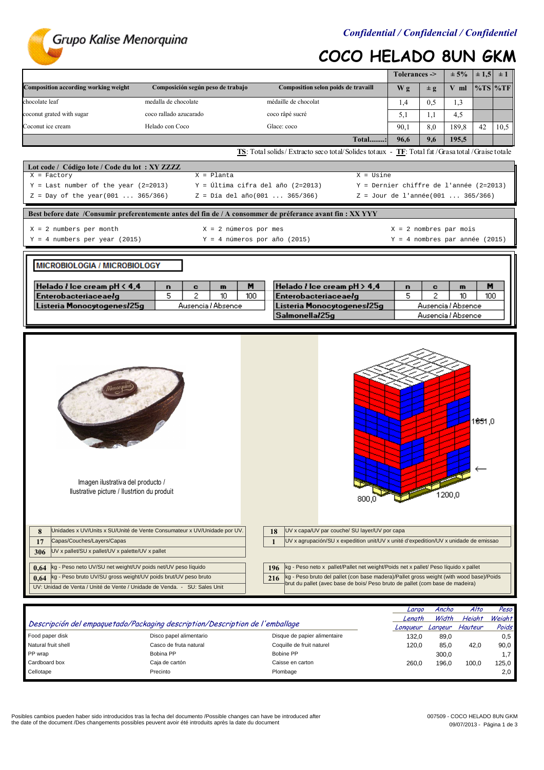

# COCO HELADO 8UN GKM

|                                                                                                                                                                                                                                                                                                                                 |                                                                                                            |                                                                      |                                                                                                                                                                                                                                                                                                                                                                                                          | Tolerances ->                     |         | $± 5\%$             | $\pm 1,5$ | $\pm 1$         |
|---------------------------------------------------------------------------------------------------------------------------------------------------------------------------------------------------------------------------------------------------------------------------------------------------------------------------------|------------------------------------------------------------------------------------------------------------|----------------------------------------------------------------------|----------------------------------------------------------------------------------------------------------------------------------------------------------------------------------------------------------------------------------------------------------------------------------------------------------------------------------------------------------------------------------------------------------|-----------------------------------|---------|---------------------|-----------|-----------------|
| Composition according working weight                                                                                                                                                                                                                                                                                            | Composición según peso de trabajo                                                                          |                                                                      | Composition selon poids de travaill                                                                                                                                                                                                                                                                                                                                                                      | Wg                                | $\pm$ g | V ml                |           | $\%TS$ %TF      |
| chocolate leaf                                                                                                                                                                                                                                                                                                                  | medalla de chocolate                                                                                       | médaille de chocolat                                                 |                                                                                                                                                                                                                                                                                                                                                                                                          | 1,4                               | 0.5     | 1,3                 |           |                 |
| coconut grated with sugar                                                                                                                                                                                                                                                                                                       | coco rallado azucarado                                                                                     | coco râpé sucré                                                      |                                                                                                                                                                                                                                                                                                                                                                                                          | 5,1                               | 1,1     | 4,5                 |           |                 |
| Coconut ice cream                                                                                                                                                                                                                                                                                                               | Helado con Coco                                                                                            | Glace: coco                                                          |                                                                                                                                                                                                                                                                                                                                                                                                          | 90,1                              | 8,0     | 189,8               | 42        | 10,5            |
|                                                                                                                                                                                                                                                                                                                                 |                                                                                                            |                                                                      | Total:                                                                                                                                                                                                                                                                                                                                                                                                   | 96,6                              | 9,6     | 195,5               |           |                 |
|                                                                                                                                                                                                                                                                                                                                 |                                                                                                            |                                                                      | TS: Total solids/Extracto seco total/Solides totaux - TF: Total fat/Grasa total/Graise totale                                                                                                                                                                                                                                                                                                            |                                   |         |                     |           |                 |
| Lot code / Código lote / Code du lot: XY ZZZZ                                                                                                                                                                                                                                                                                   |                                                                                                            |                                                                      |                                                                                                                                                                                                                                                                                                                                                                                                          |                                   |         |                     |           |                 |
| $X = Factory$                                                                                                                                                                                                                                                                                                                   | $X =$ Planta                                                                                               |                                                                      | $X = Usine$                                                                                                                                                                                                                                                                                                                                                                                              |                                   |         |                     |           |                 |
| $Y = Last number of the year (2=2013)$<br>$Z = Day of the year(001  365/366)$                                                                                                                                                                                                                                                   |                                                                                                            | Y = Última cifra del año (2=2013)<br>$Z = Día del año(001  365/366)$ | Y = Dernier chiffre de l'année (2=2013)                                                                                                                                                                                                                                                                                                                                                                  | Z = Jour de l'année(001  365/366) |         |                     |           |                 |
|                                                                                                                                                                                                                                                                                                                                 |                                                                                                            |                                                                      |                                                                                                                                                                                                                                                                                                                                                                                                          |                                   |         |                     |           |                 |
|                                                                                                                                                                                                                                                                                                                                 | Best before date /Consumir preferentemente antes del fin de / A consommer de préferance avant fin : XX YYY |                                                                      |                                                                                                                                                                                                                                                                                                                                                                                                          |                                   |         |                     |           |                 |
| $X = 2$ numbers per month                                                                                                                                                                                                                                                                                                       | $X = 2$ números por mes                                                                                    |                                                                      |                                                                                                                                                                                                                                                                                                                                                                                                          | $X = 2$ nombres par mois          |         |                     |           |                 |
| $Y = 4$ numbers per year (2015)                                                                                                                                                                                                                                                                                                 |                                                                                                            | $Y = 4$ números por año (2015)                                       |                                                                                                                                                                                                                                                                                                                                                                                                          | Y = 4 nombres par année (2015)    |         |                     |           |                 |
|                                                                                                                                                                                                                                                                                                                                 |                                                                                                            |                                                                      |                                                                                                                                                                                                                                                                                                                                                                                                          |                                   |         |                     |           |                 |
| MICROBIOLOGIA / MICROBIOLOGY                                                                                                                                                                                                                                                                                                    |                                                                                                            |                                                                      |                                                                                                                                                                                                                                                                                                                                                                                                          |                                   |         |                     |           |                 |
|                                                                                                                                                                                                                                                                                                                                 |                                                                                                            |                                                                      |                                                                                                                                                                                                                                                                                                                                                                                                          |                                   |         |                     |           |                 |
| Helado <i>I</i> lce cream pH $\leq 4.4$<br>Enterobacteriaceaelg                                                                                                                                                                                                                                                                 | m<br>n<br>c<br>5<br>2<br>10                                                                                | M<br>100                                                             | Helado <i>I</i> lce cream $pH > 4.4$<br>Enterobacteriaceae/g                                                                                                                                                                                                                                                                                                                                             | n<br>5                            | c<br>2  | $\mathbf{m}$<br>10  | М<br>100  |                 |
| Listeria Monocytogenes/25g                                                                                                                                                                                                                                                                                                      | Ausencia / Absence                                                                                         |                                                                      | Listeria Monocytogenes/25g                                                                                                                                                                                                                                                                                                                                                                               |                                   |         | Ausencia / Absence  |           |                 |
|                                                                                                                                                                                                                                                                                                                                 |                                                                                                            | Salmonella/25g<br>Ausencia / Absence                                 |                                                                                                                                                                                                                                                                                                                                                                                                          |                                   |         |                     |           |                 |
| Imagen ilustrativa del producto /<br>Ilustrative picture / Ilustrtion du produit                                                                                                                                                                                                                                                |                                                                                                            | 800,0                                                                |                                                                                                                                                                                                                                                                                                                                                                                                          |                                   | 1200,0  | 1 <del>85</del> 1,0 |           |                 |
| 8<br>Capas/Couches/Layers/Capas<br>17<br>UV x pallet/SU x pallet/UV x palette/UV x pallet<br>306<br>kg - Peso neto UV/SU net weight/UV poids net/UV peso líquido<br>0,64<br>kg - Peso bruto UV/SU gross weight/UV poids brut/UV peso bruto<br>0,64<br>UV: Unidad de Venta / Unité de Vente / Unidade de Venda. - SU: Sales Unit | Unidades x UV/Units x SU/Unité de Vente Consumateur x UV/Unidade por UV.                                   | 18<br>$\mathbf{1}$<br>196<br>216                                     | UV x capa/UV par couche/ SU layer/UV por capa<br>UV x agrupación/SU x expedition unit/UV x unité d'expedition/UV x unidade de emissao<br>kg - Peso neto x pallet/Pallet net weight/Poids net x pallet/ Peso líquido x pallet<br>kg - Peso bruto del pallet (con base madera)/Pallet gross weight (with wood base)/Poids<br>brut du pallet (avec base de bois/ Peso bruto de pallet (com base de madeira) |                                   |         |                     |           |                 |
|                                                                                                                                                                                                                                                                                                                                 |                                                                                                            |                                                                      |                                                                                                                                                                                                                                                                                                                                                                                                          |                                   |         |                     |           |                 |
|                                                                                                                                                                                                                                                                                                                                 |                                                                                                            |                                                                      |                                                                                                                                                                                                                                                                                                                                                                                                          | Largo                             |         | Ancho               | Alto      | Peso            |
|                                                                                                                                                                                                                                                                                                                                 | Descripción del empaquetado/Packaging description/Description de l'emballage                               |                                                                      |                                                                                                                                                                                                                                                                                                                                                                                                          | Length<br>Lonqueur Largeur        |         | Width<br>Hauteur    | Height    | Weight<br>Poids |

Descripción del empaquetado/Packaging description/Description de l'emballage Longueur Largeur Hauteur Poids (Poids Food paper disk **Disco papel alimentario** Disque de papier alimentaire 132,0 89,0 0,5<br>132,0 85.0 12.0 0,5 Casco de fruta natural Coquille de fruit naturel 132,0 85.0 42.0 90.0 Natural fruit shell Casco de fruit natural Casco de fruit naturel Coquille de fruit naturel 120,0 85,0 42,0 90,0<br>P P wrap Bobina PP Bobina PP Bobine PP 300.0 1.7 PP wrap **Bobina PP** Bobine PP Bobine PP Bobine PP Bobine PP Bobine PP 300,0 1,7 Cardboard box Caja de cartón Caisse en carton 260,0 196,0 100,0 125,0  $\blacksquare$ Cellotape Precinto Precinto e precinto  $\blacksquare$ 

Posibles cambios pueden haber sido introducidos tras la fecha del documento /Possible changes can have be introduced after the date of the document /Des changements possibles peuvent avoir été introduits après la date du document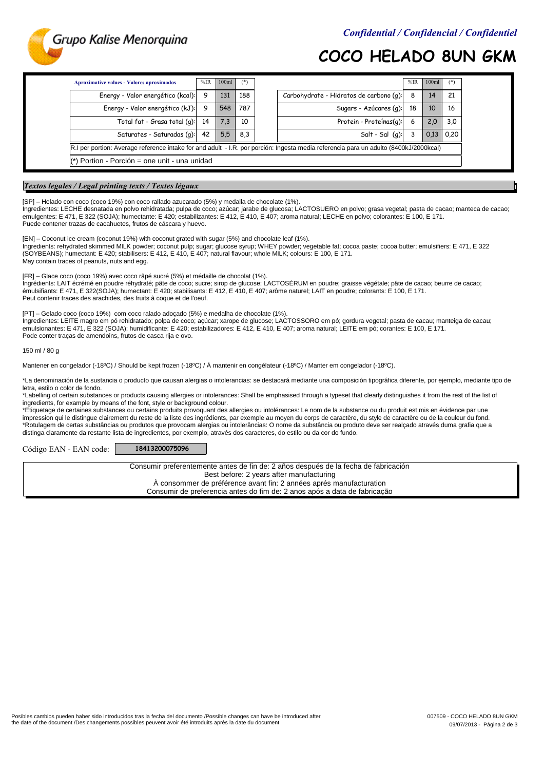

## COCO HELADO 8UN GKM

| <b>Aproximative values - Valores aproximados</b>                                                                                      | %IR | 100ml | $(*)$ |                                         | $%$ IR | 100 <sub>ml</sub> | $($ *) |  |
|---------------------------------------------------------------------------------------------------------------------------------------|-----|-------|-------|-----------------------------------------|--------|-------------------|--------|--|
| Energy - Valor energético (kcal):                                                                                                     | 9   | 131   | 188   | Carbohydrate - Hidratos de carbono (q): | 8      | 14                | 21     |  |
| Energy - Valor energético (kJ):                                                                                                       | 9   | 548   | 787   | Sugars - Azúcares (g):                  | 18     | 10                | 16     |  |
| Total fat - Grasa total (g):                                                                                                          | 14  | 7,3   | 10    | Protein - Proteínas(q):                 | 6      | 2,0               | 3,0    |  |
| Saturates - Saturadas (g):                                                                                                            | 42  | 5,5   | 8,3   | Salt - Sal $(q)$ :                      |        | 0.13              | 0,20   |  |
| R.I per portion: Average reference intake for and adult - I.R. por porción: Ingesta media referencia para un adulto (8400kJ/2000kcal) |     |       |       |                                         |        |                   |        |  |
| Portion - Porción = one unit - una unidad                                                                                             |     |       |       |                                         |        |                   |        |  |

### Textos legales / Legal printing texts / Textes légaux

[SP] – Helado con coco (coco 19%) con coco rallado azucarado (5%) y medalla de chocolate (1%).

Ingredientes: LECHE desnatada en polvo rehidratada; pulpa de coco; azúcar; jarabe de glucosa; LACTOSUERO en polvo; grasa vegetal; pasta de cacao; manteca de cacao; emulgentes: E 471, E 322 (SOJA); humectante: E 420; estabilizantes: E 412, E 410, E 407; aroma natural; LECHE en polvo; colorantes: E 100, E 171. Puede contener trazas de cacahuetes, frutos de cáscara y huevo.

[EN] – Coconut ice cream (coconut 19%) with coconut grated with sugar (5%) and chocolate leaf (1%). May contain traces of peanuts, nuts and egg. Ingredients: rehydrated skimmed MILK powder; coconut pulp; sugar; glucose syrup; WHEY powder; vegetable fat; cocoa paste; cocoa butter; emulsifiers: E 471, E 322 (SOYBEANS); humectant: E 420; stabilisers: E 412, E 410, E 407; natural flavour; whole MILK; colours: E 100, E 171.

Peut contenir traces des arachides, des fruits à coque et de l'oeuf. émulsifiants: E 471, E 322(SOJA); humectant: E 420; stabilisants: E 412, E 410, E 407; arôme naturel; LAIT en poudre; colorants: E 100, E 171. [FR] – Glace coco (coco 19%) avec coco râpé sucré (5%) et médaille de chocolat (1%). Ingrédients: LAIT écrémé en poudre réhydraté; pâte de coco; sucre; sirop de glucose; LACTOSÉRUM en poudre; graisse végétale; pâte de cacao; beurre de cacao;

Pode conter traças de amendoins, frutos de casca rija e ovo. emulsionantes: E 471, E 322 (SOJA); humidificante: E 420; estabilizadores: E 412, E 410, E 407; aroma natural; LEITE em pó; corantes: E 100, E 171. [PT] – Gelado coco (coco 19%) com coco ralado adoçado (5%) e medalha de chocolate (1%). Ingredientes: LEITE magro em pó rehidratado; polpa de coco; açúcar; xarope de glucose; LACTOSSORO em pó; gordura vegetal; pasta de cacau; manteiga de cacau;

150 ml / 80 g

Mantener en congelador (-18ºC) / Should be kept frozen (-18ºC) / À mantenir en congélateur (-18ºC) / Manter em congelador (-18ºC).

letra, estilo o color de fondo. \*La denominación de la sustancia o producto que causan alergias o intolerancias: se destacará mediante una composición tipográfica diferente, por ejemplo, mediante tipo de

\*Labelling of certain substances or products causing allergies or intolerances: Shall be emphasised through a typeset that clearly distinguishes it from the rest of the list of ingredients, for example by means of the font, style or background colour.

\*Etiquetage de certaines substances ou certains produits provoquant des allergies ou intolérances: Le nom de la substance ou du produit est mis en évidence par une impression qui le distingue clairement du reste de la liste des ingrédients, par exemple au moyen du corps de caractère, du style de caractère ou de la couleur du fond. \*Rotulagem de certas substâncias ou produtos que provocam alergias ou intolerâncias: O nome da substância ou produto deve ser realçado através duma grafia que a distinga claramente da restante lista de ingredientes, por exemplo, através dos caracteres, do estilo ou da cor do fundo.

Código EAN - EAN code: 18413200075096

Best before: 2 years after manufacturing Consumir preferentemente antes de fin de: 2 años después de la fecha de fabricación À consommer de préférence avant fin: 2 années aprés manufacturation Consumir de preferencia antes do fim de: 2 anos após a data de fabricação